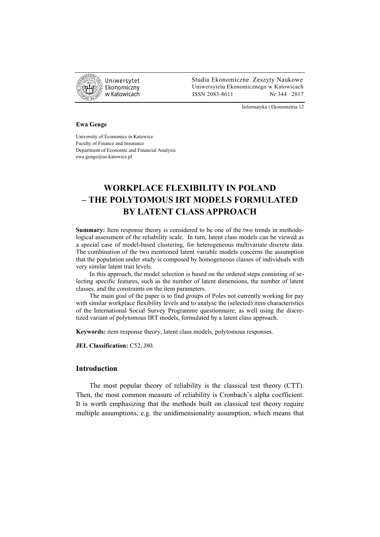

 Studia Ekonomiczne. Zeszyty Naukowe Ekonomiczny Uniwersytetu Ekonomicznego w Katowicach w Katowicach Matsus (ISSN 2083-8611 Nr 344 · 2017

Informatyka i Ekonometria 12

#### **Ewa Genge**

University of Economics in Katowice Faculty of Finance and Insurance Department of Economic and Financial Analysis ewa.genge@ue.katowice.pl

# **WORKPLACE FLEXIBILITY IN POLAND – THE POLYTOMOUS IRT MODELS FORMULATED BY LATENT CLASS APPROACH**

**Summary:** Item response theory is considered to be one of the two trends in methodological assessment of the reliability scale. In turn, latent class models can be viewed as a special case of model-based clustering, for heterogeneous multivariate discrete data. The combination of the two mentioned latent variable models concerns the assumption that the population under study is composed by homogeneous classes of individuals with very similar latent trait levels.

In this approach, the model selection is based on the ordered steps consisting of selecting specific features, such as the number of latent dimensions, the number of latent classes, and the constraints on the item parameters.

The main goal of the paper is to find groups of Poles not currently working for pay with similar workplace flexibility levels and to analyse the (selected) item characteristics of the International Social Survey Programme questionnaire, as well using the discretized variant of polytomous IRT models, formulated by a latent class approach.

**Keywords:** item response theory, latent class models, polytomous responses.

**JEL Classification:** C52, J80.

## **Introduction**

The most popular theory of reliability is the classical test theory (CTT). Then, the most common measure of reliability is Cronbach's alpha coefficient. It is worth emphasizing that the methods built on classical test theory require multiple assumptions, e.g. the unidimensionality assumption, which means that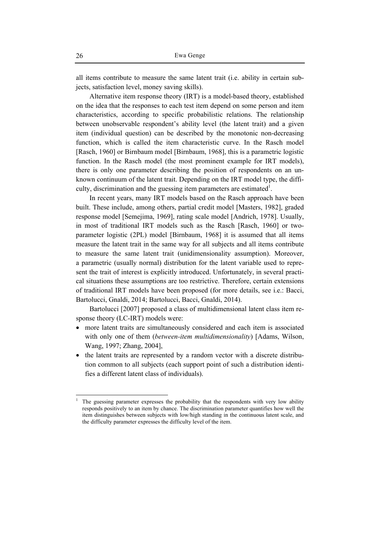all items contribute to measure the same latent trait (i.e. ability in certain subjects, satisfaction level, money saving skills).

Alternative item response theory (IRT) is a model-based theory, established on the idea that the responses to each test item depend on some person and item characteristics, according to specific probabilistic relations. The relationship between unobservable respondent's ability level (the latent trait) and a given item (individual question) can be described by the monotonic non-decreasing function, which is called the item characteristic curve. In the Rasch model [Rasch, 1960] or Birnbaum model [Birnbaum, 1968], this is a parametric logistic function. In the Rasch model (the most prominent example for IRT models), there is only one parameter describing the position of respondents on an unknown continuum of the latent trait. Depending on the IRT model type, the difficulty, discrimination and the guessing item parameters are estimated<sup>1</sup>.

In recent years, many IRT models based on the Rasch approach have been built. These include, among others, partial credit model [Masters, 1982], graded response model [Semejima, 1969], rating scale model [Andrich, 1978]. Usually, in most of traditional IRT models such as the Rasch [Rasch, 1960] or twoparameter logistic (2PL) model [Birnbaum, 1968] it is assumed that all items measure the latent trait in the same way for all subjects and all items contribute to measure the same latent trait (unidimensionality assumption). Moreover, a parametric (usually normal) distribution for the latent variable used to represent the trait of interest is explicitly introduced. Unfortunately, in several practical situations these assumptions are too restrictive. Therefore, certain extensions of traditional IRT models have been proposed (for more details, see i.e.: Bacci, Bartolucci, Gnaldi, 2014; Bartolucci, Bacci, Gnaldi, 2014).

Bartolucci [2007] proposed a class of multidimensional latent class item response theory (LC-IRT) models were:

- more latent traits are simultaneously considered and each item is associated with only one of them (*between-item multidimensionality*) [Adams, Wilson, Wang, 1997; Zhang, 2004],
- the latent traits are represented by a random vector with a discrete distribution common to all subjects (each support point of such a distribution identifies a different latent class of individuals).

<sup>1</sup> The guessing parameter expresses the probability that the respondents with very low ability responds positively to an item by chance. The discrimination parameter quantifies how well the item distinguishes between subjects with low/high standing in the continuous latent scale, and the difficulty parameter expresses the difficulty level of the item.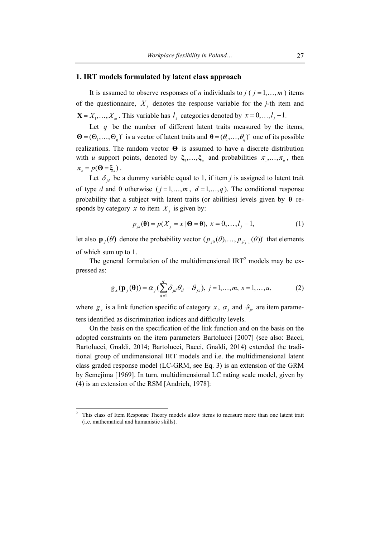#### **1. IRT models formulated by latent class approach**

It is assumed to observe responses of *n* individuals to *j* ( $j = 1, \ldots, m$ ) items of the questionnaire,  $X_i$  denotes the response variable for the *j*-th item and  $X = X_1, \ldots, X_m$ . This variable has  $l_i$  categories denoted by  $x = 0, \ldots, l_i - 1$ .

Let  $q$  be the number of different latent traits measured by the items,  $\mathbf{\Theta} = (\Theta_1, \dots, \Theta_n)'$  is a vector of latent traits and  $\mathbf{\Theta} = (\theta_1, \dots, \theta_n)'$  one of its possible realizations. The random vector **Θ** is assumed to have a discrete distribution with *u* support points, denoted by  $\xi_1, \ldots, \xi_n$  and probabilities  $\pi_1, \ldots, \pi_n$ , then  $\pi_s = p(\mathbf{\Theta} = \xi_s)$ .

Let  $\delta_{id}$  be a dummy variable equal to 1, if item *j* is assigned to latent trait of type *d* and 0 otherwise  $(j = 1, \ldots, m, d = 1, \ldots, q)$ . The conditional response probability that a subject with latent traits (or abilities) levels given by **θ** responds by category  $x$  to item  $X_i$  is given by:

$$
p_{jk}(\mathbf{\theta}) = p(X_j = x \mid \mathbf{\Theta} = \mathbf{\theta}), \ x = 0, \dots, l_j - 1,
$$
 (1)

let also  $\mathbf{p}_j(\theta)$  denote the probability vector  $(p_{j0}(\theta), \dots, p_{j l_{j-1}}(\theta))'$  that elements of which sum up to 1.

The general formulation of the multidimensional  $IRT<sup>2</sup>$  models may be expressed as:

$$
g_x(\mathbf{p}_j(\mathbf{\theta})) = \alpha_j \left( \sum_{d=1}^q \delta_{jd} \theta_d - \mathcal{S}_{jx} \right), \ j = 1, \dots, m, \ s = 1, \dots, u,
$$
 (2)

where  $g_x$  is a link function specific of category  $x$ ,  $\alpha_j$  and  $\mathcal{S}_{jx}$  are item parameters identified as discrimination indices and difficulty levels.

On the basis on the specification of the link function and on the basis on the adopted constraints on the item parameters Bartolucci [2007] (see also: Bacci, Bartolucci, Gnaldi, 2014; Bartolucci, Bacci, Gnaldi, 2014) extended the traditional group of undimensional IRT models and i.e. the multidimensional latent class graded response model (LC-GRM, see Eq. 3) is an extension of the GRM by Semejima [1969]. In turn, multidimensional LC rating scale model, given by (4) is an extension of the RSM [Andrich, 1978]:

<sup>2</sup> This class of Item Response Theory models allow items to measure more than one latent trait (i.e. mathematical and humanistic skills).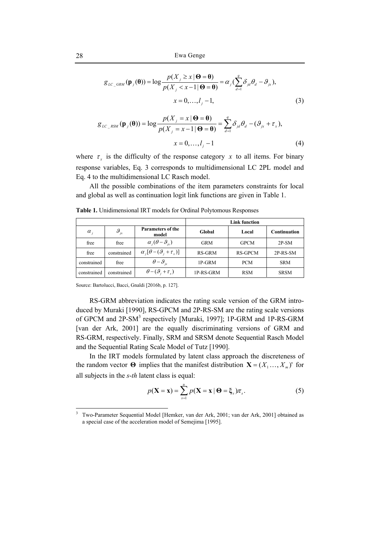$$
g_{LC\_GRM}(\mathbf{p}_j(\mathbf{\theta})) = \log \frac{p(X_j \ge x \mid \mathbf{\Theta} = \mathbf{\theta})}{p(X_j < x - 1 \mid \mathbf{\Theta} = \mathbf{\theta})} = \alpha_j \left( \sum_{d=1}^q \delta_{jd} \theta_d - \theta_{jx} \right),
$$
\n
$$
x = 0, \dots, l_j - 1,\tag{3}
$$

$$
g_{LC\_RSM}(\mathbf{p}_j(\mathbf{\theta})) = \log \frac{p(X_j = x \mid \mathbf{\Theta} = \mathbf{\theta})}{p(X_j = x - 1 \mid \mathbf{\Theta} = \mathbf{\theta})} = \sum_{d=1}^q \delta_{jd} \theta_d - (\mathcal{G}_{jx} + \tau_x),
$$
  

$$
x = 0, ..., l_j - 1
$$
 (4)

where  $\tau<sub>r</sub>$  is the difficulty of the response category *x* to all items. For binary response variables, Eq. 3 corresponds to multidimensional LC 2PL model and Eq. 4 to the multidimensional LC Rasch model.

All the possible combinations of the item parameters constraints for local and global as well as continuation logit link functions are given in Table 1.

|              |                         |                                      | <b>Link function</b> |                |                     |  |
|--------------|-------------------------|--------------------------------------|----------------------|----------------|---------------------|--|
| $\alpha_{i}$ | $\mathcal{G}_{i\alpha}$ | <b>Parameters of the</b><br>model    | Global               | Local          | <b>Continuation</b> |  |
| free         | free                    | $\alpha_i(\theta-\theta_{i})$        | <b>GRM</b>           | <b>GPCM</b>    | $2P-SM$             |  |
| free         | constrained             | $\alpha_i[\theta-(\theta_i+\tau_x)]$ | RS-GRM               | <b>RS-GPCM</b> | 2P-RS-SM            |  |
| constrained  | free                    | $\theta-\theta_{ir}$                 | 1P-GRM               | <b>PCM</b>     | <b>SRM</b>          |  |
| constrained  | constrained             | $\theta - (\theta_i + \tau_x)$       | 1P-RS-GRM            | <b>RSM</b>     | <b>SRSM</b>         |  |

**Table 1.** Unidimensional IRT models for Ordinal Polytomous Responses

Source: Bartolucci, Bacci, Gnaldi [2016b, p. 127].

RS-GRM abbreviation indicates the rating scale version of the GRM introduced by Muraki [1990], RS-GPCM and 2P-RS-SM are the rating scale versions of GPCM and 2P-SM<sup>3</sup> respectively [Muraki, 1997]; 1P-GRM and 1P-RS-GRM [van der Ark, 2001] are the equally discriminating versions of GRM and RS-GRM, respectively. Finally, SRM and SRSM denote Sequential Rasch Model and the Sequential Rating Scale Model of Tutz [1990].

In the IRT models formulated by latent class approach the discreteness of the random vector  $\Theta$  implies that the manifest distribution  $\mathbf{X} = (X_1, \dots, X_m)$  for all subjects in the *s*-*th* latent class is equal:

$$
p(\mathbf{X} = \mathbf{x}) = \sum_{s=1}^{u} p(\mathbf{X} = \mathbf{x} | \mathbf{\Theta} = \xi_s) \pi_s.
$$
 (5)

<sup>3</sup> Two-Parameter Sequential Model [Hemker, van der Ark, 2001; van der Ark, 2001] obtained as a special case of the acceleration model of Semejima [1995].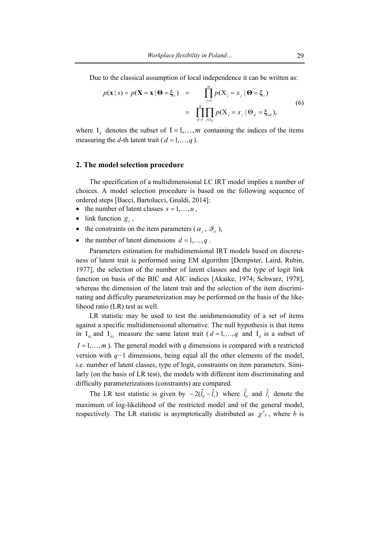Due to the classical assumption of local independence it can be written as:

$$
p(\mathbf{x} \mid s) = p(\mathbf{X} = \mathbf{x} \mid \boldsymbol{\Theta} = \boldsymbol{\xi}_s) = \prod_{j=1}^{m} p(X_j = x_j \mid \boldsymbol{\Theta} = \boldsymbol{\xi}_s)
$$
  

$$
= \prod_{d=1}^{q} \prod_{j \in I_d} p(X_j = x_j \mid \boldsymbol{\Theta}_d = \boldsymbol{\xi}_{sd}),
$$
 (6)

where  $I_d$  denotes the subset of  $I = 1, \ldots, m$  containing the indices of the items measuring the *d*-th latent trait ( $d = 1, \ldots, q$ ).

### **2. The model selection procedure**

The specification of a multidimensional LC IRT model implies a number of choices. A model selection procedure is based on the following sequence of ordered steps [Bacci, Bartolucci, Gnaldi, 2014]:

- the number of latent classes  $s = 1, \ldots, u$ ,
- link function  $g_x$ ,
- the constraints on the item parameters ( $\alpha_i$ ,  $\theta_{i}$ ),
- the number of latent dimensions  $d = 1, \dots, q$ .

Parameters estimation for multidimensional IRT models based on discreteness of latent trait is performed using EM algorithm [Dempster, Laird, Rubin, 1977], the selection of the number of latent classes and the type of logit link function on basis of the BIC and AIC indices [Akaike, 1974; Schwarz, 1978], whereas the dimension of the latent trait and the selection of the item discriminating and difficulty parameterization may be performed on the basis of the likelihood ratio (LR) test as well.

LR statistic may be used to test the unidimensionality of a set of items against a specific multidimensional alternative. The null hypothesis is that items in  $I_{d}$  and  $I_{d}$  measure the same latent trait ( $d = 1, \ldots, q$  and  $I_{d}$  is a subset of  $I = 1, \ldots, m$ ). The general model with *q* dimensions is compared with a restricted version with *q−*1 dimensions, being equal all the other elements of the model, i.e. number of latent classes, type of logit, constraints on item parameters. Similarly (on the basis of LR test), the models with different item discriminating and difficulty parameterizations (constraints) are compared.

The LR test statistic is given by  $-2(\hat{l}_0 - \hat{l}_1)$  where  $\hat{l}_0$  and  $\hat{l}_1$  denote the maximum of log-likelihood of the restricted model and of the general model, respectively. The LR statistic is asymptotically distributed as  $\chi^2$ , where *b* is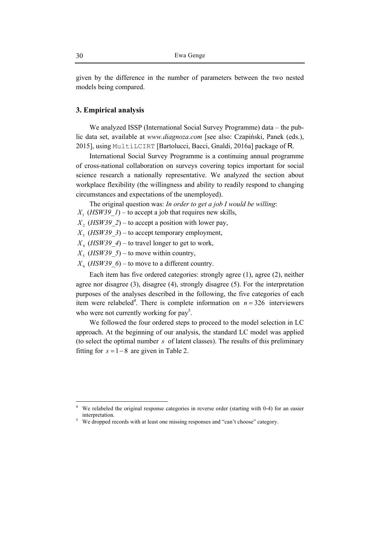given by the difference in the number of parameters between the two nested models being compared.

## **3. Empirical analysis**

We analyzed ISSP (International Social Survey Programme) data – the public data set, available at *www.diagnoza.com* [see also: Czapiński, Panek (eds.), 2015], using MultiLCIRT [Bartolucci, Bacci, Gnaldi, 2016a] package of R.

International Social Survey Programme is a continuing annual programme of cross-national collaboration on surveys covering topics important for social science research a nationally representative. We analyzed the section about workplace flexibility (the willingness and ability to readily respond to changing circumstances and expectations of the unemployed).

The original question was: *In order to get a job I would be willing*:

- *X*<sub>1</sub> (*HSW39 1*) to accept a job that requires new skills,
- $X_2$  (*HSW39* 2) to accept a position with lower pay,
- $X_3$  (*HSW39\_3*) to accept temporary employment,
- $X_4$  (*HSW39\_4*) to travel longer to get to work,
- $X_5$  (*HSW39* 5) to move within country,
- $X_6$  (*HSW39\_6*) to move to a different country.

Each item has five ordered categories: strongly agree (1), agree (2), neither agree nor disagree (3), disagree (4), strongly disagree (5). For the interpretation purposes of the analyses described in the following, the five categories of each item were relabeled<sup>4</sup>. There is complete information on  $n = 326$  interviewers who were not currently working for  $pay<sup>5</sup>$ .

We followed the four ordered steps to proceed to the model selection in LC approach. At the beginning of our analysis, the standard LC model was applied (to select the optimal number *s* of latent classes). The results of this preliminary fitting for  $s = 1 - 8$  are given in Table 2.

<sup>4</sup> We relabeled the original response categories in reverse order (starting with 0-4) for an easier interpretation.

<sup>&</sup>lt;sup>5</sup> We dropped records with at least one missing responses and "can't choose" category.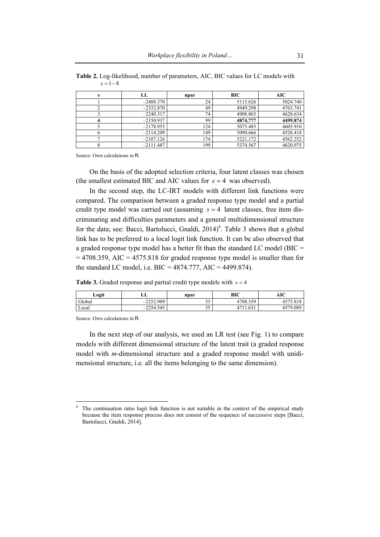| LL          | npar | <b>BIC</b> | AIC      |
|-------------|------|------------|----------|
| $-2488.370$ | 24   | 5115.626   | 5024.740 |
| $-2332.870$ | 49   | 4949.298   | 4763.741 |
| $-2240.317$ | 74   | 4908.865   | 4628.634 |
| $-2150.937$ | 99   | 4874.777   | 4499.874 |
| $-2178.955$ | 124  | 5075.485   | 4605.910 |
| $-2114.209$ | 149  | 5090.666   | 4526.418 |
| $-2107.126$ | 174  | 5221.172   | 4562.252 |
| $-2111.487$ | 199  | 5374.567   | 4620.975 |

**Table 2.** Log-likelihood, number of parameters, AIC, BIC values for LC models with *s* = 1− 8

On the basis of the adopted selection criteria, four latent classes was chosen (the smallest estimated BIC and AIC values for  $s = 4$  was observed).

In the second step, the LC-IRT models with different link functions were compared. The comparison between a graded response type model and a partial credit type model was carried out (assuming  $s = 4$  latent classes, free item discriminating and difficulties parameters and a general multidimensional structure for the data; see: Bacci, Bartolucci, Gnaldi,  $2014$ <sup>6</sup>. Table 3 shows that a global link has to be preferred to a local logit link function. It can be also observed that a graded response type model has a better fit than the standard LC model (BIC =  $=$  4708.359, AIC = 4575.818 for graded response type model is smaller than for the standard LC model, i.e.  $BIC = 4874.777$ ,  $AIC = 4499.874$ ).

**Table 3.** Graded response and partial credit type models with  $s = 4$ 

| Logit  | ப                                     | npar       | BIC                      | AIC      |
|--------|---------------------------------------|------------|--------------------------|----------|
| Global | -2252.909<br>$\overline{\phantom{a}}$ | າ ະ<br>ں ر | 4708.359                 | 4575.818 |
| Local  | $-2254.545$                           | n r<br>ں ر | 1.631<br>17 <sup>1</sup> | 4579.089 |

Source: Own calculations in R.

In the next step of our analysis, we used an LR test (see Fig. 1) to compare models with different dimensional structure of the latent trait (a graded response model with *m*-dimensional structure and a graded response model with unidimensional structure, i.e. all the items belonging to the same dimension).

 $\frac{1}{6}$  The continuation ratio logit link function is not suitable in the context of the empirical study becuase the item response process does not consist of the sequence of successive steps [Bacci, Bartolucci, Gnaldi, 2014].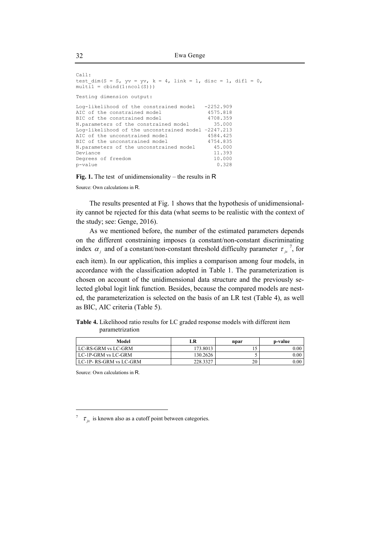```
Call: 
test dim(S = S, yv = yv, k = 4, link = 1, disc = 1, difl = 0,
multi1 = \text{cbind}(1: \text{ncol}(S)))Testing dimension output: 
Log-likelihood of the constrained model -2252.909<br>AIC of the constrained model 4575.818
AIC of the constrained model 4575.818<br>BIC of the constrained model 4708.359
BIC of the constrained model
N.parameters of the constrained model 35.000 
Log-likelihood of the unconstrained model –2247.213 
AIC of the unconstrained model
BIC of the unconstrained model 4754.835
N.parameters of the unconstrained model 45.000<br>Deviance 11.393
Deviance 11.393
Degrees of freedom 10.000<br>p-value 0.328
p-value
```
**Fig. 1.** The test of unidimensionality – the results in R

The results presented at Fig. 1 shows that the hypothesis of unidimensionality cannot be rejected for this data (what seems to be realistic with the context of the study; see: Genge, 2016).

As we mentioned before, the number of the estimated parameters depends on the different constraining imposes (a constant/non-constant discriminating index  $\alpha_j$  and of a constant/non-constant threshold difficulty parameter  $\tau_{j}^{\ \gamma}$ , for

each item). In our application, this implies a comparison among four models, in accordance with the classification adopted in Table 1. The parameterization is chosen on account of the unidimensional data structure and the previously selected global logit link function. Besides, because the compared models are nested, the parameterization is selected on the basis of an LR test (Table 4), as well as BIC, AIC criteria (Table 5).

**Table 4.** Likelihood ratio results for LC graded response models with different item parametrization

| Model                   | LR       | npar | p-value           |
|-------------------------|----------|------|-------------------|
| LC-RS-GRM vs LC-GRM     | 173.8013 |      | 0.00 <sub>1</sub> |
| LC-1P-GRM vs LC-GRM     | 130.2626 |      | $0.00\,$          |
| LC-1P- RS-GRM vs LC-GRM | 228.3327 | 20   | $0.00\,$          |

Source: Own calculations in R.

<sup>7</sup>  $\tau_{ix}$  is known also as a cutoff point between categories.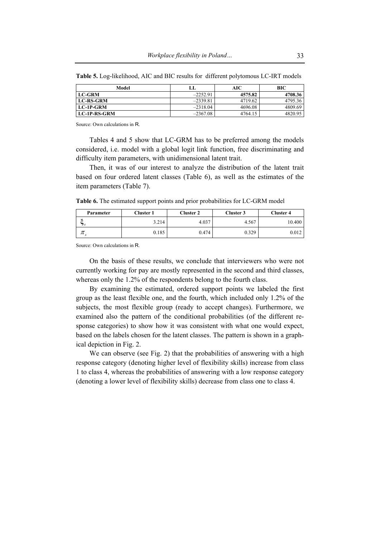| Model               | LL.        | AIC     | BІC     |
|---------------------|------------|---------|---------|
| <b>LC-GRM</b>       | $-2252.91$ | 4575.82 | 4708.36 |
| <b>LC-RS-GRM</b>    | $-2339.81$ | 4719.62 | 4795.36 |
| LC-1P-GRM           | $-2318.04$ | 4696.08 | 4809.69 |
| <b>LC-1P-RS-GRM</b> | $-2367.08$ | 4764.15 | 4820.95 |

**Table 5.** Log-likelihood, AIC and BIC results for different polytomous LC-IRT models

Tables 4 and 5 show that LC-GRM has to be preferred among the models considered, i.e. model with a global logit link function, free discriminating and difficulty item parameters, with unidimensional latent trait.

Then, it was of our interest to analyze the distribution of the latent trait based on four ordered latent classes (Table 6), as well as the estimates of the item parameters (Table 7).

**Table 6.** The estimated support points and prior probabilities for LC-GRM model

| Parameter        | Cluster 1 | Cluster 2 | Cluster 3 | Cluster 4 |
|------------------|-----------|-----------|-----------|-----------|
| $\epsilon$<br>つS | 3.214     | 4.037     | 4.567     | 10.400    |
| π                | 0.185     | 0.474     | 0.329     | 0.012     |

Source: Own calculations in R.

On the basis of these results, we conclude that interviewers who were not currently working for pay are mostly represented in the second and third classes, whereas only the 1.2% of the respondents belong to the fourth class.

By examining the estimated, ordered support points we labeled the first group as the least flexible one, and the fourth, which included only 1.2% of the subjects, the most flexible group (ready to accept changes). Furthermore, we examined also the pattern of the conditional probabilities (of the different response categories) to show how it was consistent with what one would expect, based on the labels chosen for the latent classes. The pattern is shown in a graphical depiction in Fig. 2.

We can observe (see Fig. 2) that the probabilities of answering with a high response category (denoting higher level of flexibility skills) increase from class 1 to class 4, whereas the probabilities of answering with a low response category (denoting a lower level of flexibility skills) decrease from class one to class 4.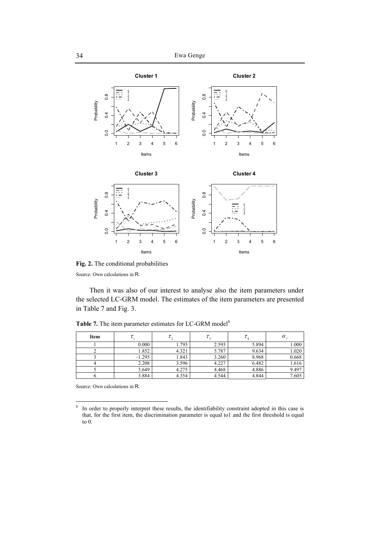

**Fig. 2.** The conditional probabilities

Then it was also of our interest to analyse also the item parameters under the selected LC-GRM model. The estimates of the item parameters are presented in Table 7 and Fig. 3.

123456

Items

| Item |          |       |       | $^{i}$ | $\alpha$ |
|------|----------|-------|-------|--------|----------|
|      | 0.000    | 1.793 | 2.593 | 5.894  | 1.000    |
|      | 1.852    | 4.321 | 5.787 | 9.634  | 1.020    |
|      | $-1.295$ | 1.843 | 3.260 | 8.968  | 0.668    |
|      | 2.208    | 3.596 | 4.227 | 6.482  | 1.616    |
|      | 3.649    | 4.275 | 4.468 | 4.886  | 9.497    |
|      | 3.884    | 4.354 | 4.544 | 4.844  | 7.605    |

Table 7. The item parameter estimates for LC-GRM model<sup>8</sup>

123456

Items

Source: Own calculations in R.

 $\frac{1}{8}$  In order to properly interpret these results, the identifiability constraint adopted in this case is that, for the first item, the discrimination parameter is equal to1 and the first threshold is equal to 0.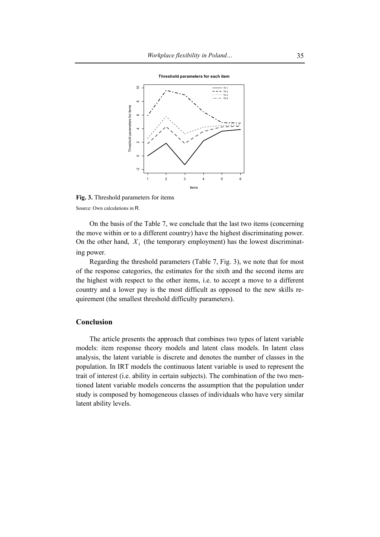

**Fig. 3.** Threshold parameters for items Source: Own calculations in R.

On the basis of the Table 7, we conclude that the last two items (concerning the move within or to a different country) have the highest discriminating power. On the other hand,  $X<sub>3</sub>$  (the temporary employment) has the lowest discriminating power.

Regarding the threshold parameters (Table 7, Fig. 3), we note that for most of the response categories, the estimates for the sixth and the second items are the highest with respect to the other items, i.e. to accept a move to a different country and a lower pay is the most difficult as opposed to the new skills requirement (the smallest threshold difficulty parameters).

## **Conclusion**

The article presents the approach that combines two types of latent variable models: item response theory models and latent class models. In latent class analysis, the latent variable is discrete and denotes the number of classes in the population. In IRT models the continuous latent variable is used to represent the trait of interest (i.e. ability in certain subjects). The combination of the two mentioned latent variable models concerns the assumption that the population under study is composed by homogeneous classes of individuals who have very similar latent ability levels.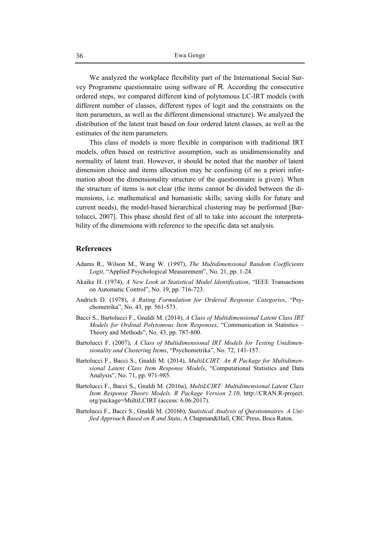We analyzed the workplace flexibility part of the International Social Survey Programme questionnaire using software of R. According the consecutive ordered steps, we compared different kind of polytomous LC-IRT models (with different number of classes, different types of logit and the constraints on the item parameters, as well as the different dimensional structure). We analyzed the distribution of the latent trait based on four ordered latent classes, as well as the estimates of the item parameters.

This class of models is more flexible in comparison with traditional IRT models, often based on restrictive assumption, such as unidimensionality and normality of latent trait. However, it should be noted that the number of latent dimension choice and items allocation may be confusing (if no a priori information about the dimensionality structure of the questionnaire is given). When the structure of items is not clear (the items cannot be divided between the dimensions, i.e. mathematical and humanistic skills; saving skills for future and current needs), the model-based hierarchical clustering may be performed [Bartolucci, 2007]. This phase should first of all to take into account the interpretability of the dimensions with reference to the specific data set analysis.

## **References**

- Adams R., Wilson M., Wang W. (1997), *The Multidimensional Random Coefficients Logit*, "Applied Psychological Measurement", No. 21, pp. 1-24.
- Akaike H. (1974), *A New Look at Statistical Model Identification*, "IEEE Transactions on Automatic Control", No. 19, pp. 716-723.
- Andrich D. (1978), *A Rating Formulation for Ordered Response Categories*, "Psychometrika", No. 43, pp. 561-573.
- Bacci S., Bartolucci F., Gnaldi M. (2014), *A Class of Multidimensional Latent Class IRT Models for Ordinal Polytomous Item Responses*, "Communication in Statistics – Theory and Methods", No. 43, pp. 787-800*.*
- Bartolucci F. (2007), *A Class of Multidimensional IRT Models for Testing Unidimensionality and Clustering Items*, "Psychometrika", No. 72, 141-157.
- Bartolucci F., Bacci S., Gnaldi M. (2014), *MultiLCIRT: An R Package for Multidimensional Latent Class Item Response Models*, "Computational Statistics and Data Analysis", No. 71, pp. 971-985.
- Bartolucci F., Bacci S., Gnaldi M. (2016a), *MultiLCIRT: Multidimensional Latent Class Item Response Theory Models. R Package Version 2.10*, http://CRAN.R-project. org/package=MultiLCIRT (access: 6.06.2017).
- Bartolucci F., Bacci S., Gnaldi M. (2016b), *Statistical Analysis of Questionnaires. A Unified Approach Based on R and Stata*, A Chapman&Hall, CRC Press, Boca Raton.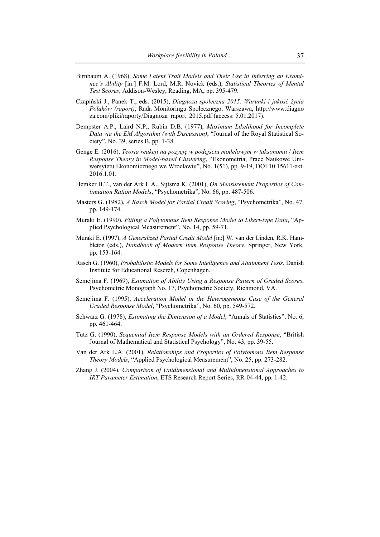- Birnbaum A. (1968), *Some Latent Trait Models and Their Use in Inferring an Examinee's Ability* [in:] F.M. Lord, M.R. Novick (eds.), *Statistical Theories of Mental Test* S*cores*, Addison-Wesley, Reading, MA, pp. 395-479.
- Czapiński J., Panek T., eds. (2015), *Diagnoza społeczna 2015. Warunki i jakość życia Polaków (raport)*, Rada Monitoringu Społecznego, Warszawa, http://www.diagno za.com/pliki/raporty/Diagnoza\_raport\_2015.pdf (access: 5.01.2017).
- Dempster A.P., Laird N.P., Rubin D.B. (1977), *Maximum Likelihood for Incomplete Data via the EM Algorithm (with Discussion)*, "Journal of the Royal Statistical Society", No. 39, series B, pp. 1-38.
- Genge E. (2016), *Teoria reakcji na pozycję w podejściu modelowym w taksonomii* / *Item Response Theory in Model-based Clustering*, "Ekonometria, Prace Naukowe Uniwersytetu Ekonomicznego we Wrocławiu", No. 1(51), pp. 9-19, DOI 10.15611/ekt. 2016.1.01.
- Hemker B.T., van der Ark L.A., Sijtsma K. (2001), *On Measurement Properties of Continuation Ration Models*, "Psychometrika", No. 66, pp. 487-506.
- Masters G. (1982), *A Rasch Model for Partial Credit Scoring*, "Psychometrika", No. 47, pp. 149-174.
- Muraki E. (1990), *Fitting a Polytomous Item Response Model to Likert-type Data*, "Applied Psychological Measurement", No. 14, pp. 59-71.
- Muraki E. (1997), *A Generalized Partial Credit Model* [in:] W. van der Linden, R.K. Hambleton (eds.), *Handbook of Modern Item Response Theory*, Springer, New York, pp. 153-164.
- Rasch G. (1960), *Probabilistic Models for Some Intelligence and Attainment Tests*, Danish Institute for Educational Reserch, Copenhagen.
- Semejima F. (1969), *Estimation of Ability Using a Response Pattern of Graded Scores*, Psychometric Monograph No. 17, Psychometric Society, Richmond, VA.
- Semejima F. (1995), *Acceleration Model in the Heterogeneous Case of the General Graded Response Model*, "Psychometrika", No. 60, pp. 549-572.
- Schwarz G. (1978), *Estimating the Dimension of a Model*, "Annals of Statistics", No. 6, pp. 461-464.
- Tutz G. (1990), *Sequential Item Response Models with an Ordered Response*, "British Journal of Mathematical and Statistical Psychology", No. 43, pp. 39-55.
- Van der Ark L.A. (2001), *Relationships and Properties of Polytomous Item Response Theory Models*, "Applied Psychological Measurement", No. 25, pp. 273-282.
- Zhang J. (2004), *Comparison of Unidimensional and Multidimensional Approaches to IRT Parameter Estimation*, ETS Research Report Series, RR-04-44, pp. 1-42.